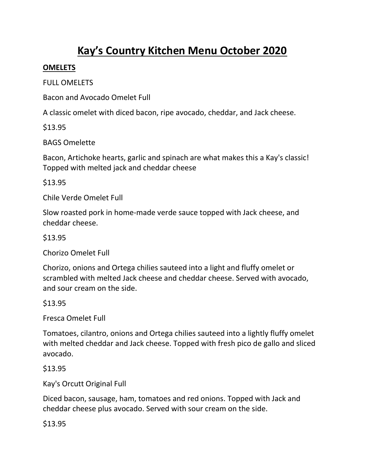# Kay's Country Kitchen Menu October 2020

### **OMELETS**

FULL OMELETS

Bacon and Avocado Omelet Full

A classic omelet with diced bacon, ripe avocado, cheddar, and Jack cheese.

\$13.95

BAGS Omelette

Bacon, Artichoke hearts, garlic and spinach are what makes this a Kay's classic! Topped with melted jack and cheddar cheese

\$13.95

Chile Verde Omelet Full

Slow roasted pork in home-made verde sauce topped with Jack cheese, and cheddar cheese.

\$13.95

Chorizo Omelet Full

Chorizo, onions and Ortega chilies sauteed into a light and fluffy omelet or scrambled with melted Jack cheese and cheddar cheese. Served with avocado, and sour cream on the side.

\$13.95

Fresca Omelet Full

Tomatoes, cilantro, onions and Ortega chilies sauteed into a lightly fluffy omelet with melted cheddar and Jack cheese. Topped with fresh pico de gallo and sliced avocado.

\$13.95

Kay's Orcutt Original Full

Diced bacon, sausage, ham, tomatoes and red onions. Topped with Jack and cheddar cheese plus avocado. Served with sour cream on the side.

\$13.95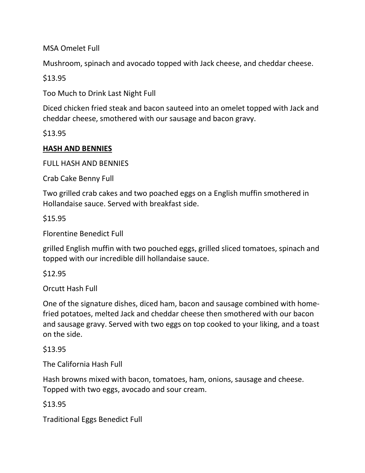MSA Omelet Full

Mushroom, spinach and avocado topped with Jack cheese, and cheddar cheese.

\$13.95

Too Much to Drink Last Night Full

Diced chicken fried steak and bacon sauteed into an omelet topped with Jack and cheddar cheese, smothered with our sausage and bacon gravy.

\$13.95

# HASH AND BENNIES

FULL HASH AND BENNIES

Crab Cake Benny Full

Two grilled crab cakes and two poached eggs on a English muffin smothered in Hollandaise sauce. Served with breakfast side.

\$15.95

Florentine Benedict Full

grilled English muffin with two pouched eggs, grilled sliced tomatoes, spinach and topped with our incredible dill hollandaise sauce.

\$12.95

Orcutt Hash Full

One of the signature dishes, diced ham, bacon and sausage combined with homefried potatoes, melted Jack and cheddar cheese then smothered with our bacon and sausage gravy. Served with two eggs on top cooked to your liking, and a toast on the side.

\$13.95

The California Hash Full

Hash browns mixed with bacon, tomatoes, ham, onions, sausage and cheese. Topped with two eggs, avocado and sour cream.

\$13.95

Traditional Eggs Benedict Full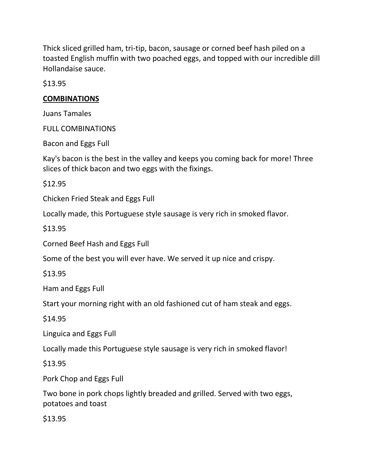Thick sliced grilled ham, tri-tip, bacon, sausage or corned beef hash piled on a toasted English muffin with two poached eggs, and topped with our incredible dill Hollandaise sauce.

\$13.95

### **COMBINATIONS**

Juans Tamales

FULL COMBINATIONS

Bacon and Eggs Full

Kay's bacon is the best in the valley and keeps you coming back for more! Three slices of thick bacon and two eggs with the fixings.

\$12.95

Chicken Fried Steak and Eggs Full

Locally made, this Portuguese style sausage is very rich in smoked flavor.

\$13.95

Corned Beef Hash and Eggs Full

Some of the best you will ever have. We served it up nice and crispy.

\$13.95

Ham and Eggs Full

Start your morning right with an old fashioned cut of ham steak and eggs.

\$14.95

Linguica and Eggs Full

Locally made this Portuguese style sausage is very rich in smoked flavor!

\$13.95

Pork Chop and Eggs Full

Two bone in pork chops lightly breaded and grilled. Served with two eggs, potatoes and toast

\$13.95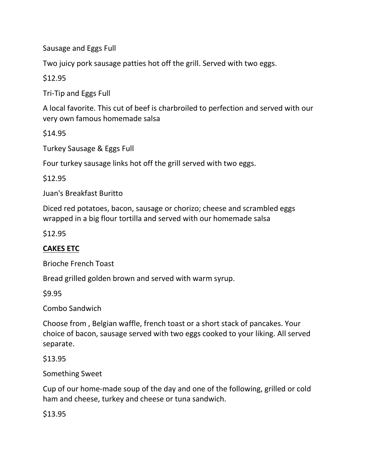Sausage and Eggs Full

Two juicy pork sausage patties hot off the grill. Served with two eggs.

\$12.95

Tri-Tip and Eggs Full

A local favorite. This cut of beef is charbroiled to perfection and served with our very own famous homemade salsa

\$14.95

Turkey Sausage & Eggs Full

Four turkey sausage links hot off the grill served with two eggs.

\$12.95

Juan's Breakfast Buritto

Diced red potatoes, bacon, sausage or chorizo; cheese and scrambled eggs wrapped in a big flour tortilla and served with our homemade salsa

\$12.95

# CAKES ETC

Brioche French Toast

Bread grilled golden brown and served with warm syrup.

\$9.95

Combo Sandwich

Choose from , Belgian waffle, french toast or a short stack of pancakes. Your choice of bacon, sausage served with two eggs cooked to your liking. All served separate.

\$13.95

Something Sweet

Cup of our home-made soup of the day and one of the following, grilled or cold ham and cheese, turkey and cheese or tuna sandwich.

\$13.95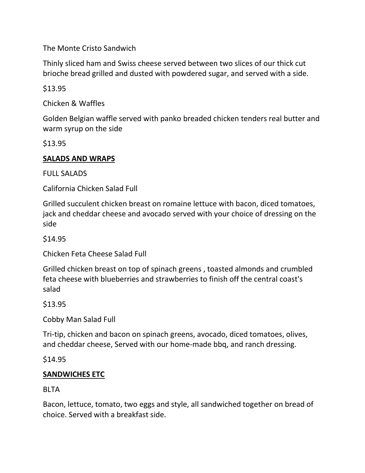The Monte Cristo Sandwich

Thinly sliced ham and Swiss cheese served between two slices of our thick cut brioche bread grilled and dusted with powdered sugar, and served with a side.

\$13.95

Chicken & Waffles

Golden Belgian waffle served with panko breaded chicken tenders real butter and warm syrup on the side

\$13.95

### SALADS AND WRAPS

FULL SALADS

California Chicken Salad Full

Grilled succulent chicken breast on romaine lettuce with bacon, diced tomatoes, jack and cheddar cheese and avocado served with your choice of dressing on the side

\$14.95

Chicken Feta Cheese Salad Full

Grilled chicken breast on top of spinach greens , toasted almonds and crumbled feta cheese with blueberries and strawberries to finish off the central coast's salad

\$13.95

Cobby Man Salad Full

Tri-tip, chicken and bacon on spinach greens, avocado, diced tomatoes, olives, and cheddar cheese, Served with our home-made bbq, and ranch dressing.

\$14.95

## SANDWICHES ETC

**BLTA** 

Bacon, lettuce, tomato, two eggs and style, all sandwiched together on bread of choice. Served with a breakfast side.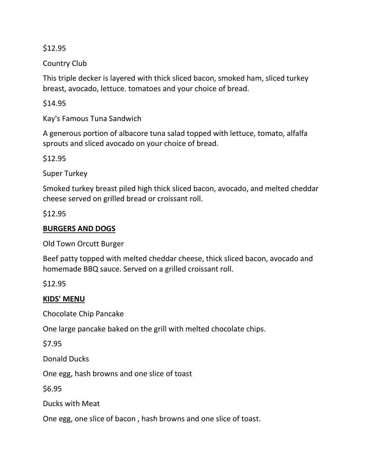\$12.95

Country Club

This triple decker is layered with thick sliced bacon, smoked ham, sliced turkey breast, avocado, lettuce. tomatoes and your choice of bread.

\$14.95

Kay's Famous Tuna Sandwich

A generous portion of albacore tuna salad topped with lettuce, tomato, alfalfa sprouts and sliced avocado on your choice of bread.

\$12.95

Super Turkey

Smoked turkey breast piled high thick sliced bacon, avocado, and melted cheddar cheese served on grilled bread or croissant roll.

\$12.95

## BURGERS AND DOGS

Old Town Orcutt Burger

Beef patty topped with melted cheddar cheese, thick sliced bacon, avocado and homemade BBQ sauce. Served on a grilled croissant roll.

\$12.95

#### KIDS' MENU

Chocolate Chip Pancake

One large pancake baked on the grill with melted chocolate chips.

\$7.95

Donald Ducks

One egg, hash browns and one slice of toast

\$6.95

Ducks with Meat

One egg, one slice of bacon , hash browns and one slice of toast.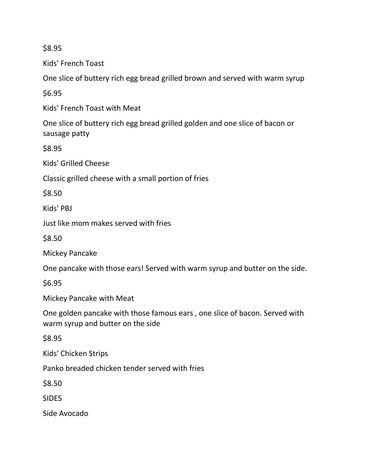\$8.95

Kids' French Toast

One slice of buttery rich egg bread grilled brown and served with warm syrup

\$6.95

Kids' French Toast with Meat

One slice of buttery rich egg bread grilled golden and one slice of bacon or sausage patty

\$8.95

Kids' Grilled Cheese

Classic grilled cheese with a small portion of fries

\$8.50

Kids' PBJ

Just like mom makes served with fries

\$8.50

Mickey Pancake

One pancake with those ears! Served with warm syrup and butter on the side.

\$6.95

Mickey Pancake with Meat

One golden pancake with those famous ears , one slice of bacon. Served with warm syrup and butter on the side

\$8.95

Kids' Chicken Strips

Panko breaded chicken tender served with fries

\$8.50

**SIDES** 

Side Avocado